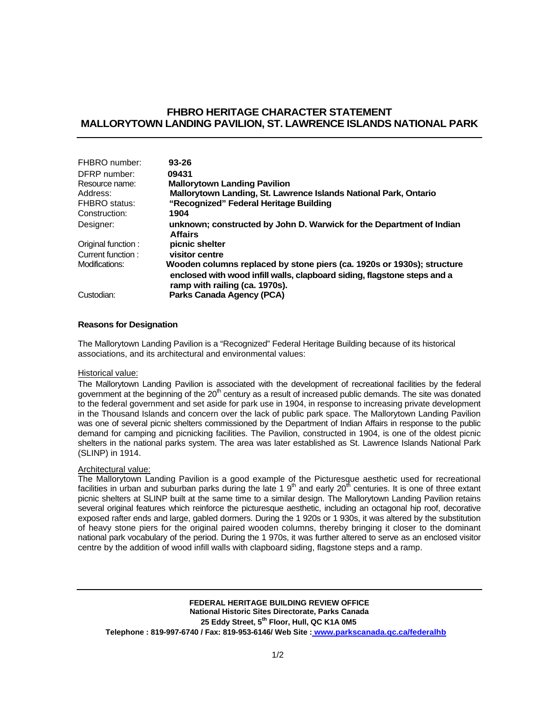# **FHBRO HERITAGE CHARACTER STATEMENT MALLORYTOWN LANDING PAVILION, ST. LAWRENCE ISLANDS NATIONAL PARK**

| FHBRO number:        | $93 - 26$                                                                                                  |
|----------------------|------------------------------------------------------------------------------------------------------------|
| DFRP number:         | 09431                                                                                                      |
| Resource name:       | <b>Mallorytown Landing Pavilion</b>                                                                        |
| Address:             | Mallorytown Landing, St. Lawrence Islands National Park, Ontario                                           |
| <b>FHBRO</b> status: | "Recognized" Federal Heritage Building                                                                     |
| Construction:        | 1904                                                                                                       |
| Designer:            | unknown; constructed by John D. Warwick for the Department of Indian                                       |
|                      | <b>Affairs</b>                                                                                             |
| Original function:   | picnic shelter                                                                                             |
| Current function:    | visitor centre                                                                                             |
| Modifications:       | Wooden columns replaced by stone piers (ca. 1920s or 1930s); structure                                     |
|                      | enclosed with wood infill walls, clapboard siding, flagstone steps and a<br>ramp with railing (ca. 1970s). |
| Custodian:           | Parks Canada Agency (PCA)                                                                                  |

### **Reasons for Designation**

The Mallorytown Landing Pavilion is a "Recognized" Federal Heritage Building because of its historical associations, and its architectural and environmental values:

#### Historical value:

The Mallorytown Landing Pavilion is associated with the development of recreational facilities by the federal government at the beginning of the  $20<sup>th</sup>$  century as a result of increased public demands. The site was donated to the federal government and set aside for park use in 1904, in response to increasing private development in the Thousand Islands and concern over the lack of public park space. The Mallorytown Landing Pavilion was one of several picnic shelters commissioned by the Department of Indian Affairs in response to the public demand for camping and picnicking facilities. The Pavilion, constructed in 1904, is one of the oldest picnic shelters in the national parks system. The area was later established as St. Lawrence Islands National Park (SLINP) in 1914.

#### Architectural value:

The Mallorytown Landing Pavilion is a good example of the Picturesque aesthetic used for recreational fire manorytown Landing revision is a good champic of the research accuracy and early  $10^{th}$  centuries. It is one of three extant picnic shelters at SLINP built at the same time to a similar design. The Mallorytown Landing Pavilion retains several original features which reinforce the picturesque aesthetic, including an octagonal hip roof, decorative exposed rafter ends and large, gabled dormers. During the 1 920s or 1 930s, it was altered by the substitution of heavy stone piers for the original paired wooden columns, thereby bringing it closer to the dominant national park vocabulary of the period. During the 1 970s, it was further altered to serve as an enclosed visitor centre by the addition of wood infill walls with clapboard siding, flagstone steps and a ramp.

**FEDERAL HERITAGE BUILDING REVIEW OFFICE National Historic Sites Directorate, Parks Canada 25 Eddy Street, 5th Floor, Hull, QC K1A 0M5 Telephone : 819-997-6740 / Fax: 819-953-6146/ Web Site : www.parkscanada.qc.ca/federalhb**